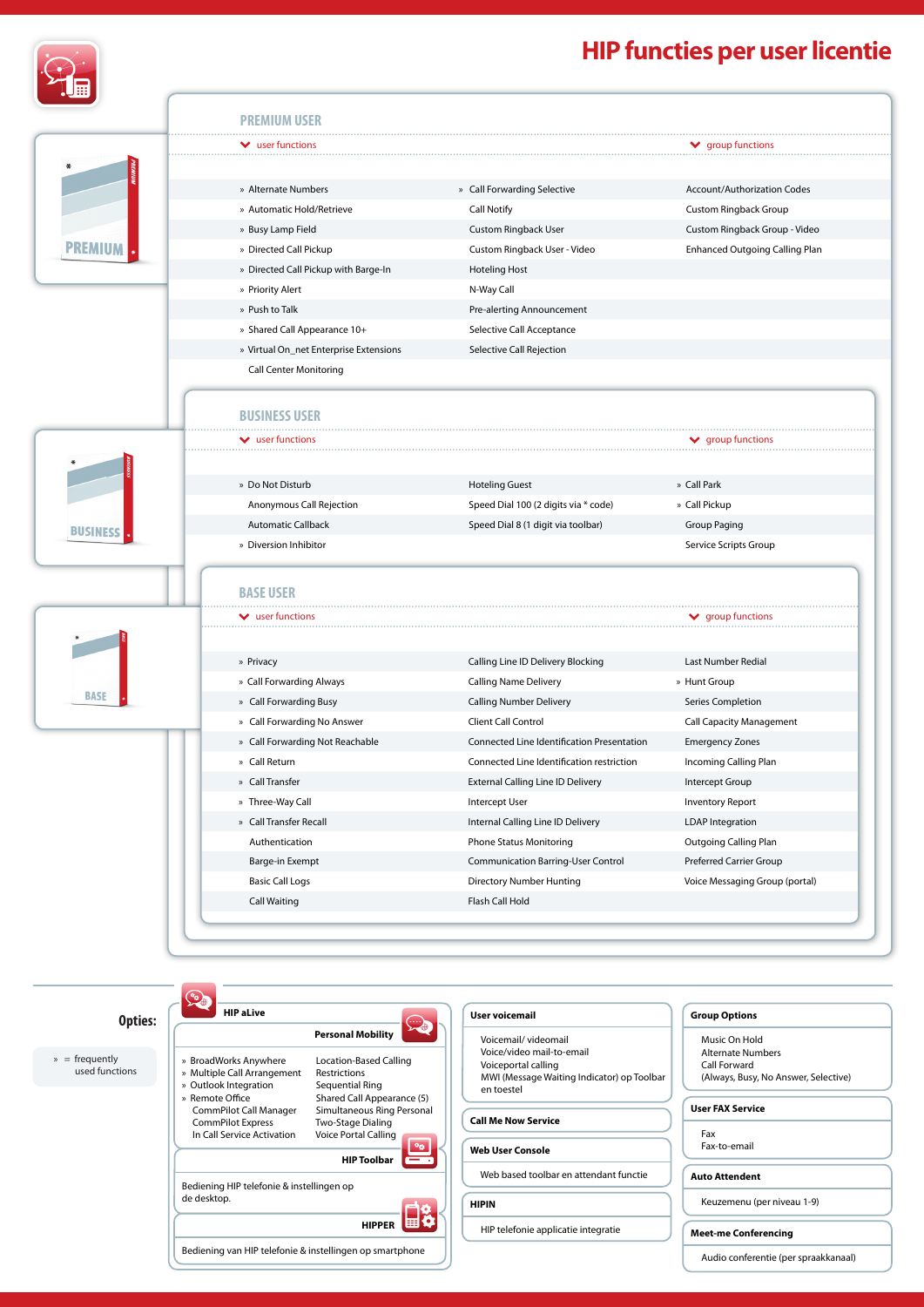

PR

## **HIP functies per user licentie**

|                | $\blacktriangleright$ user functions   |                                            | $\blacktriangleright$ group functions |
|----------------|----------------------------------------|--------------------------------------------|---------------------------------------|
|                |                                        |                                            |                                       |
|                | » Alternate Numbers                    | » Call Forwarding Selective                | <b>Account/Authorization Codes</b>    |
|                | » Automatic Hold/Retrieve              | <b>Call Notify</b>                         | Custom Ringback Group                 |
|                | » Busy Lamp Field                      | <b>Custom Ringback User</b>                | Custom Ringback Group - Video         |
| <b>PREMIUM</b> | » Directed Call Pickup                 | Custom Ringback User - Video               | Enhanced Outgoing Calling Plan        |
|                | » Directed Call Pickup with Barge-In   | <b>Hoteling Host</b>                       |                                       |
|                | » Priority Alert                       | N-Way Call                                 |                                       |
|                | » Push to Talk                         | Pre-alerting Announcement                  |                                       |
|                | » Shared Call Appearance 10+           | Selective Call Acceptance                  |                                       |
|                | » Virtual On_net Enterprise Extensions | Selective Call Rejection                   |                                       |
|                | <b>Call Center Monitoring</b>          |                                            |                                       |
|                |                                        |                                            |                                       |
|                | <b>BUSINESS USER</b>                   |                                            |                                       |
|                | $\vee$ user functions                  |                                            | $\blacktriangleright$ group functions |
|                |                                        |                                            |                                       |
|                | » Do Not Disturb                       | <b>Hoteling Guest</b>                      | » Call Park                           |
|                | Anonymous Call Rejection               | Speed Dial 100 (2 digits via * code)       | » Call Pickup                         |
|                | <b>Automatic Callback</b>              | Speed Dial 8 (1 digit via toolbar)         | Group Paging                          |
| <b>BUSINES</b> | » Diversion Inhibitor                  |                                            | Service Scripts Group                 |
|                |                                        |                                            |                                       |
|                | <b>BASE USER</b>                       |                                            |                                       |
|                |                                        |                                            |                                       |
|                | $\blacktriangleright$ user functions   |                                            | $\blacktriangleright$ group functions |
|                |                                        |                                            |                                       |
|                | » Privacy                              | Calling Line ID Delivery Blocking          | Last Number Redial                    |
| <b>BASE</b>    | » Call Forwarding Always               | <b>Calling Name Delivery</b>               | » Hunt Group                          |
|                | » Call Forwarding Busy                 | <b>Calling Number Delivery</b>             | Series Completion                     |
|                | » Call Forwarding No Answer            | Client Call Control                        | <b>Call Capacity Management</b>       |
|                | » Call Forwarding Not Reachable        | Connected Line Identification Presentation | <b>Emergency Zones</b>                |
|                | » Call Return                          | Connected Line Identification restriction  | Incoming Calling Plan                 |
|                | » Call Transfer                        | <b>External Calling Line ID Delivery</b>   | Intercept Group                       |
|                | » Three-Way Call                       | <b>Intercept User</b>                      | <b>Inventory Report</b>               |
|                | » Call Transfer Recall                 | Internal Calling Line ID Delivery          | <b>LDAP Integration</b>               |
|                | Authentication                         | <b>Phone Status Monitoring</b>             | <b>Outgoing Calling Plan</b>          |
|                | Barge-in Exempt                        | <b>Communication Barring-User Control</b>  | Preferred Carrier Group               |
|                | <b>Basic Call Logs</b>                 | Directory Number Hunting                   | Voice Messaging Group (portal)        |
|                | <b>Call Waiting</b>                    | Flash Call Hold                            |                                       |